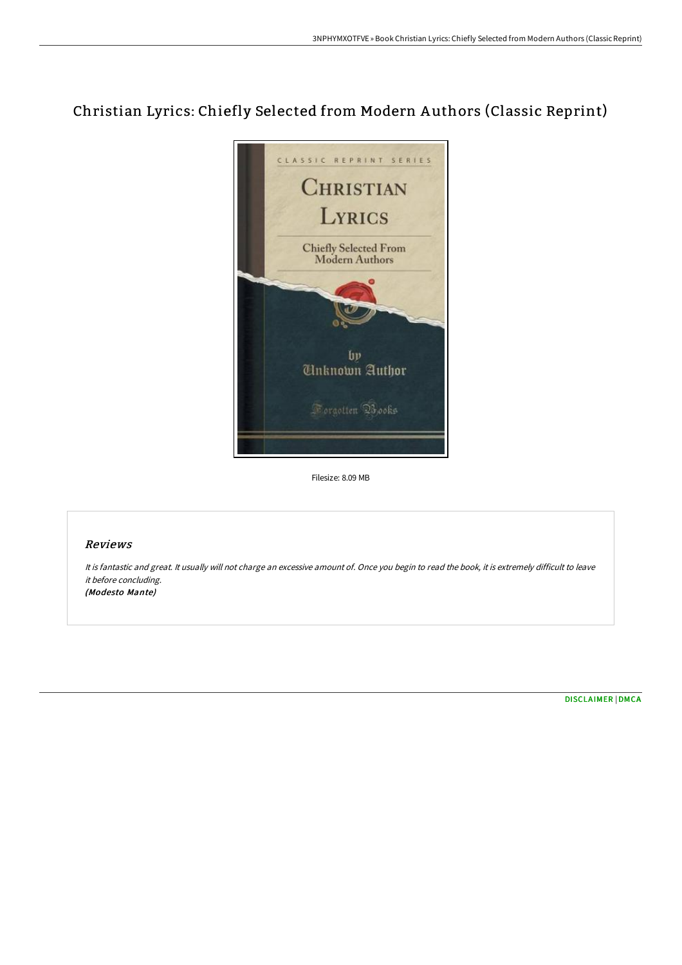## Christian Lyrics: Chiefly Selected from Modern A uthors (Classic Reprint)



Filesize: 8.09 MB

## Reviews

It is fantastic and great. It usually will not charge an excessive amount of. Once you begin to read the book, it is extremely difficult to leave it before concluding. (Modesto Mante)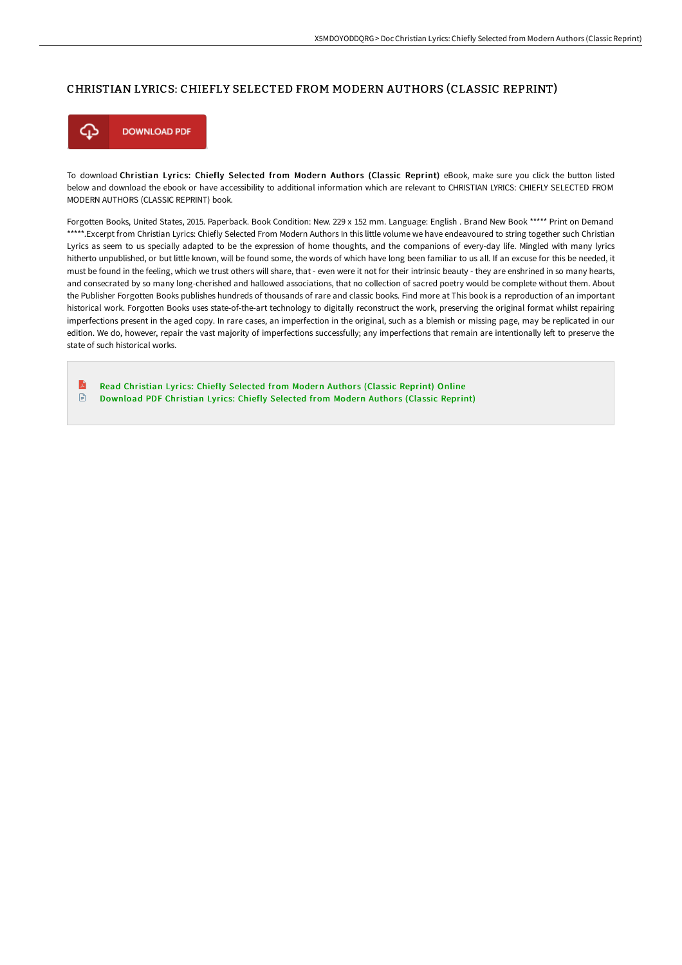## CHRISTIAN LYRICS: CHIEFLY SELECTED FROM MODERN AUTHORS (CLASSIC REPRINT)



To download Christian Lyrics: Chiefly Selected from Modern Authors (Classic Reprint) eBook, make sure you click the button listed below and download the ebook or have accessibility to additional information which are relevant to CHRISTIAN LYRICS: CHIEFLY SELECTED FROM MODERN AUTHORS (CLASSIC REPRINT) book.

Forgotten Books, United States, 2015. Paperback. Book Condition: New. 229 x 152 mm. Language: English . Brand New Book \*\*\*\*\* Print on Demand \*\*\*\*\*.Excerpt from Christian Lyrics: Chiefly Selected From Modern Authors In this little volume we have endeavoured to string together such Christian Lyrics as seem to us specially adapted to be the expression of home thoughts, and the companions of every-day life. Mingled with many lyrics hitherto unpublished, or but little known, will be found some, the words of which have long been familiar to us all. If an excuse for this be needed, it must be found in the feeling, which we trust others will share, that - even were it not for their intrinsic beauty - they are enshrined in so many hearts, and consecrated by so many long-cherished and hallowed associations, that no collection of sacred poetry would be complete without them. About the Publisher Forgotten Books publishes hundreds of thousands of rare and classic books. Find more at This book is a reproduction of an important historical work. Forgotten Books uses state-of-the-art technology to digitally reconstruct the work, preserving the original format whilst repairing imperfections present in the aged copy. In rare cases, an imperfection in the original, such as a blemish or missing page, may be replicated in our edition. We do, however, repair the vast majority of imperfections successfully; any imperfections that remain are intentionally left to preserve the state of such historical works.

E Read [Christian](http://techno-pub.tech/christian-lyrics-chiefly-selected-from-modern-au.html) Lyrics: Chiefly Selected from Modern Authors (Classic Reprint) Online  $\Box$ [Download](http://techno-pub.tech/christian-lyrics-chiefly-selected-from-modern-au.html) PDF Christian Lyrics: Chiefly Selected from Modern Authors (Classic Reprint)